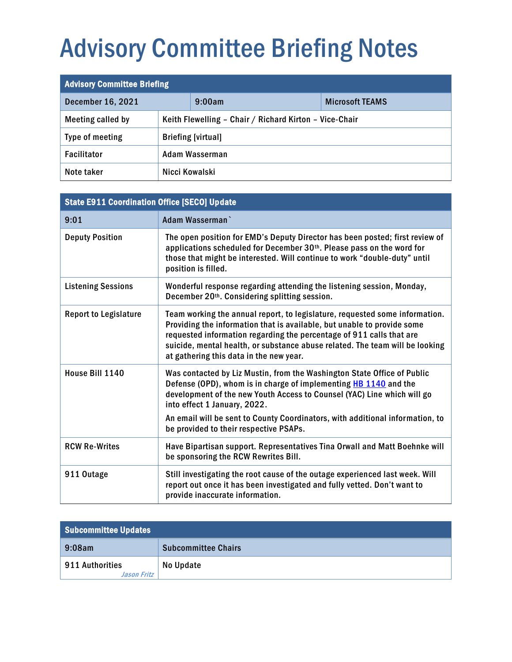# Advisory Committee Briefing Notes

| <b>Advisory Committee Briefing</b> |                                                        |        |                        |
|------------------------------------|--------------------------------------------------------|--------|------------------------|
| <b>December 16, 2021</b>           |                                                        | 9:00am | <b>Microsoft TEAMS</b> |
| Meeting called by                  | Keith Flewelling - Chair / Richard Kirton - Vice-Chair |        |                        |
| Type of meeting                    | <b>Briefing [virtual]</b>                              |        |                        |
| <b>Facilitator</b>                 | Adam Wasserman                                         |        |                        |
| Note taker                         | Nicci Kowalski                                         |        |                        |

| <b>State E911 Coordination Office [SECO] Update</b> |                                                                                                                                                                                                                                                                                                                                                           |  |  |
|-----------------------------------------------------|-----------------------------------------------------------------------------------------------------------------------------------------------------------------------------------------------------------------------------------------------------------------------------------------------------------------------------------------------------------|--|--|
| 9:01                                                | Adam Wasserman                                                                                                                                                                                                                                                                                                                                            |  |  |
| <b>Deputy Position</b>                              | The open position for EMD's Deputy Director has been posted; first review of<br>applications scheduled for December 30th. Please pass on the word for<br>those that might be interested. Will continue to work "double-duty" until<br>position is filled.                                                                                                 |  |  |
| <b>Listening Sessions</b>                           | Wonderful response regarding attending the listening session, Monday,<br>December 20 <sup>th</sup> . Considering splitting session.                                                                                                                                                                                                                       |  |  |
| <b>Report to Legislature</b>                        | Team working the annual report, to legislature, requested some information.<br>Providing the information that is available, but unable to provide some<br>requested information regarding the percentage of 911 calls that are<br>suicide, mental health, or substance abuse related. The team will be looking<br>at gathering this data in the new year. |  |  |
| House Bill 1140                                     | Was contacted by Liz Mustin, from the Washington State Office of Public<br>Defense (OPD), whom is in charge of implementing HB 1140 and the<br>development of the new Youth Access to Counsel (YAC) Line which will go<br>into effect 1 January, 2022.<br>An email will be sent to County Coordinators, with additional information, to                   |  |  |
|                                                     | be provided to their respective PSAPs.                                                                                                                                                                                                                                                                                                                    |  |  |
| <b>RCW Re-Writes</b>                                | Have Bipartisan support. Representatives Tina Orwall and Matt Boehnke will<br>be sponsoring the RCW Rewrites Bill.                                                                                                                                                                                                                                        |  |  |
| 911 Outage                                          | Still investigating the root cause of the outage experienced last week. Will<br>report out once it has been investigated and fully vetted. Don't want to<br>provide inaccurate information.                                                                                                                                                               |  |  |

| <b>Subcommittee Updates</b>    |                            |  |
|--------------------------------|----------------------------|--|
| $9:08$ am                      | <b>Subcommittee Chairs</b> |  |
| 911 Authorities<br>Jason Fritz | No Update                  |  |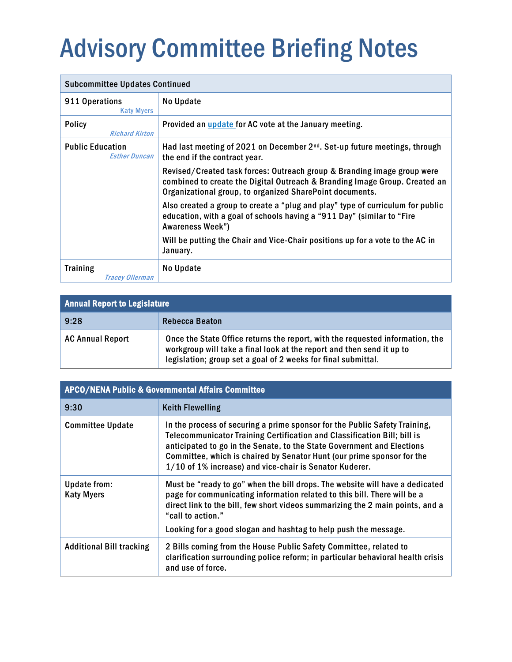# <span id="page-1-0"></span>Advisory Committee Briefing Notes

| <b>Subcommittee Updates Continued</b>           |                                                                                                                                                                                                                   |  |
|-------------------------------------------------|-------------------------------------------------------------------------------------------------------------------------------------------------------------------------------------------------------------------|--|
| 911 Operations<br><b>Katy Myers</b>             | No Update                                                                                                                                                                                                         |  |
| <b>Policy</b><br><b>Richard Kirton</b>          | Provided an <i>update</i> for AC vote at the January meeting.                                                                                                                                                     |  |
| <b>Public Education</b><br><b>Esther Duncan</b> | Had last meeting of 2021 on December 2 <sup>nd</sup> . Set-up future meetings, through<br>the end if the contract year.                                                                                           |  |
|                                                 | Revised/Created task forces: Outreach group & Branding image group were<br>combined to create the Digital Outreach & Branding Image Group. Created an<br>Organizational group, to organized SharePoint documents. |  |
|                                                 | Also created a group to create a "plug and play" type of curriculum for public<br>education, with a goal of schools having a "911 Day" (similar to "Fire<br><b>Awareness Week")</b>                               |  |
|                                                 | Will be putting the Chair and Vice-Chair positions up for a vote to the AC in<br>January.                                                                                                                         |  |
| <b>Training</b><br>Tracey Ollerman              | No Update                                                                                                                                                                                                         |  |

| <b>Annual Report to Legislature</b> |                                                                                                                                                                                                                         |  |
|-------------------------------------|-------------------------------------------------------------------------------------------------------------------------------------------------------------------------------------------------------------------------|--|
| 9:28                                | Rebecca Beaton                                                                                                                                                                                                          |  |
| <b>AC Annual Report</b>             | Once the State Office returns the report, with the requested information, the<br>workgroup will take a final look at the report and then send it up to<br>legislation; group set a goal of 2 weeks for final submittal. |  |

| <b>APCO/NENA Public &amp; Governmental Affairs Committee</b> |                                                                                                                                                                                                                                                                                                                                                                       |  |
|--------------------------------------------------------------|-----------------------------------------------------------------------------------------------------------------------------------------------------------------------------------------------------------------------------------------------------------------------------------------------------------------------------------------------------------------------|--|
| 9:30                                                         | <b>Keith Flewelling</b>                                                                                                                                                                                                                                                                                                                                               |  |
| <b>Committee Update</b>                                      | In the process of securing a prime sponsor for the Public Safety Training,<br>Telecommunicator Training Certification and Classification Bill; bill is<br>anticipated to go in the Senate, to the State Government and Elections<br>Committee, which is chaired by Senator Hunt (our prime sponsor for the<br>1/10 of 1% increase) and vice-chair is Senator Kuderer. |  |
| Update from:<br><b>Katy Myers</b>                            | Must be "ready to go" when the bill drops. The website will have a dedicated<br>page for communicating information related to this bill. There will be a<br>direct link to the bill, few short videos summarizing the 2 main points, and a<br>"call to action."<br>Looking for a good slogan and hashtag to help push the message.                                    |  |
| <b>Additional Bill tracking</b>                              | 2 Bills coming from the House Public Safety Committee, related to<br>clarification surrounding police reform; in particular behavioral health crisis<br>and use of force.                                                                                                                                                                                             |  |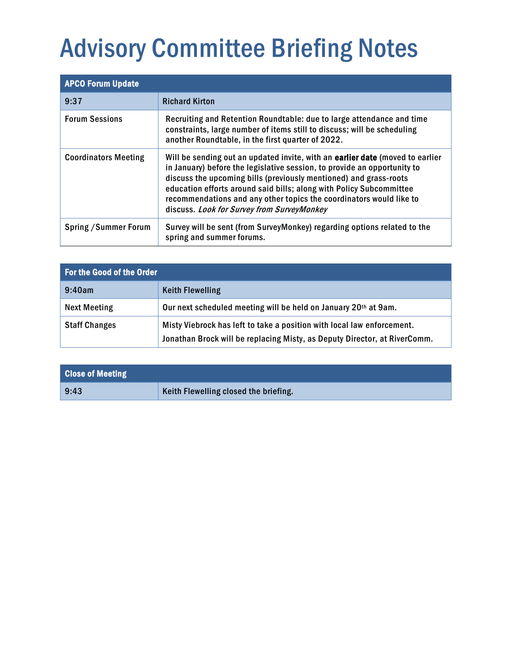# Advisory Committee Briefing Notes

| <b>APCO Forum Update</b>     |                                                                                                                                                                                                                                                                                                                                                                                                                            |  |
|------------------------------|----------------------------------------------------------------------------------------------------------------------------------------------------------------------------------------------------------------------------------------------------------------------------------------------------------------------------------------------------------------------------------------------------------------------------|--|
| 9:37                         | <b>Richard Kirton</b>                                                                                                                                                                                                                                                                                                                                                                                                      |  |
| <b>Forum Sessions</b>        | Recruiting and Retention Roundtable: due to large attendance and time<br>constraints, large number of items still to discuss; will be scheduling<br>another Roundtable, in the first quarter of 2022.                                                                                                                                                                                                                      |  |
| <b>Coordinators Meeting</b>  | Will be sending out an updated invite, with an earlier date (moved to earlier<br>in January) before the legislative session, to provide an opportunity to<br>discuss the upcoming bills (previously mentioned) and grass-roots<br>education efforts around said bills; along with Policy Subcommittee<br>recommendations and any other topics the coordinators would like to<br>discuss. Look for Survey from SurveyMonkey |  |
| <b>Spring / Summer Forum</b> | Survey will be sent (from SurveyMonkey) regarding options related to the<br>spring and summer forums.                                                                                                                                                                                                                                                                                                                      |  |

| <b>For the Good of the Order</b> |                                                                                                                                                     |  |
|----------------------------------|-----------------------------------------------------------------------------------------------------------------------------------------------------|--|
| 9:40am                           | <b>Keith Flewelling</b>                                                                                                                             |  |
| <b>Next Meeting</b>              | Our next scheduled meeting will be held on January 20th at 9am.                                                                                     |  |
| <b>Staff Changes</b>             | Misty Viebrock has left to take a position with local law enforcement.<br>Jonathan Brock will be replacing Misty, as Deputy Director, at RiverComm. |  |

| <b>Close of Meeting</b> |                                       |
|-------------------------|---------------------------------------|
| 9:43                    | Keith Flewelling closed the briefing. |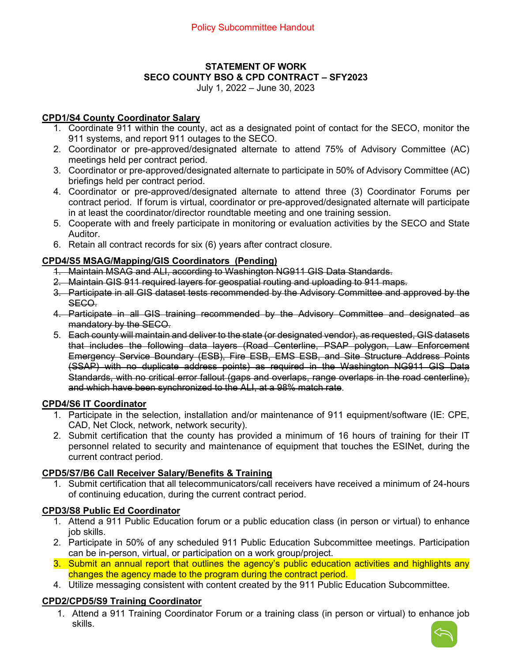# **STATEMENT OF WORK SECO COUNTY BSO & CPD CONTRACT – SFY2023**

July 1, 2022 – June 30, 2023

#### <span id="page-3-0"></span>**CPD1/S4 County Coordinator Salary**

- 1. Coordinate 911 within the county, act as a designated point of contact for the SECO, monitor the 911 systems, and report 911 outages to the SECO.
- 2. Coordinator or pre-approved/designated alternate to attend 75% of Advisory Committee (AC) meetings held per contract period.
- 3. Coordinator or pre-approved/designated alternate to participate in 50% of Advisory Committee (AC) briefings held per contract period.
- 4. Coordinator or pre-approved/designated alternate to attend three (3) Coordinator Forums per contract period. If forum is virtual, coordinator or pre-approved/designated alternate will participate in at least the coordinator/director roundtable meeting and one training session.
- 5. Cooperate with and freely participate in monitoring or evaluation activities by the SECO and State Auditor.
- 6. Retain all contract records for six (6) years after contract closure.

## **CPD4/S5 MSAG/Mapping/GIS Coordinators (Pending)**

- 1. Maintain MSAG and ALI, according to Washington NG911 GIS Data Standards.
- 2. Maintain GIS 911 required layers for geospatial routing and uploading to 911 maps.
- 3. Participate in all GIS dataset tests recommended by the Advisory Committee and approved by the SECO.
- 4. Participate in all GIS training recommended by the Advisory Committee and designated as mandatory by the SECO.
- 5. Each county will maintain and deliver to the state (or designated vendor), as requested, GIS datasets that includes the following data layers (Road Centerline, PSAP polygon, Law Enforcement Emergency Service Boundary (ESB), Fire ESB, EMS ESB, and Site Structure Address Points (SSAP) with no duplicate address points) as required in the Washington NG911 GIS Data Standards, with no critical error fallout (gaps and overlaps, range overlaps in the road centerline), and which have been synchronized to the ALI, at a 98% match rate.

#### **CPD4/S6 IT Coordinator**

- 1. Participate in the selection, installation and/or maintenance of 911 equipment/software (IE: CPE, CAD, Net Clock, network, network security).
- 2. Submit certification that the county has provided a minimum of 16 hours of training for their IT personnel related to security and maintenance of equipment that touches the ESINet, during the current contract period.

#### **CPD5/S7/B6 Call Receiver Salary/Benefits & Training**

1. Submit certification that all telecommunicators/call receivers have received a minimum of 24-hours of continuing education, during the current contract period.

#### **CPD3/S8 Public Ed Coordinator**

- 1. Attend a 911 Public Education forum or a public education class (in person or virtual) to enhance job skills.
- 2. Participate in 50% of any scheduled 911 Public Education Subcommittee meetings. Participation can be in-person, virtual, or participation on a work group/project.
- 3. Submit an annual report that outlines the agency's public education activities and highlights any changes the agency made to the program during the contract period.
- 4. Utilize messaging consistent with content created by the 911 Public Education Subcommittee.

# **CPD2/CPD5/S9 Training Coordinator**

1. Attend a 911 Training Coordinator Forum or a training class (in person or virtual) to enhance job skills.

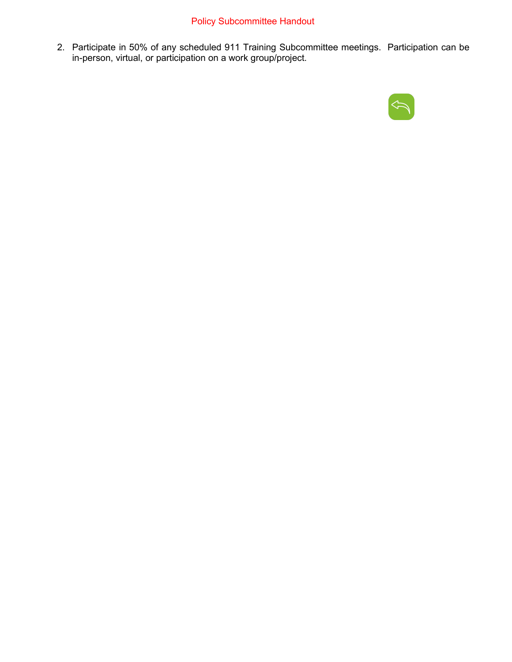# Policy Subcommittee Handout

2. Participate in 50% of any scheduled 911 Training Subcommittee meetings. Participation can be in-person, virtual, or participation on a work group/project.

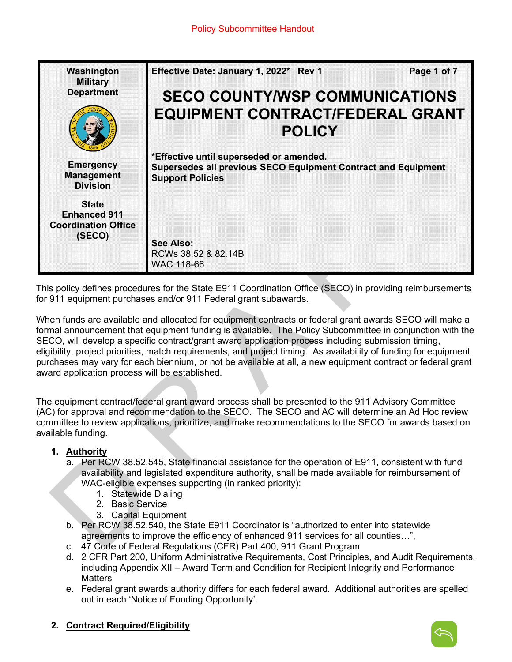| Washington<br><b>Military</b>                                               | Effective Date: January 1, 2022* Rev 1                                                                                              | Page 1 of 7 |
|-----------------------------------------------------------------------------|-------------------------------------------------------------------------------------------------------------------------------------|-------------|
| <b>Department</b>                                                           | <b>SECO COUNTY/WSP COMMUNICATIONS</b>                                                                                               |             |
|                                                                             | <b>EQUIPMENT CONTRACT/FEDERAL GRANT</b><br><b>POLICY</b>                                                                            |             |
| <b>Emergency</b><br><b>Management</b><br><b>Division</b>                    | *Effective until superseded or amended.<br>Supersedes all previous SECO Equipment Contract and Equipment<br><b>Support Policies</b> |             |
| <b>State</b><br><b>Enhanced 911</b><br><b>Coordination Office</b><br>(SECO) | See Also:                                                                                                                           |             |
|                                                                             | RCWs 38.52 & 82.14B<br>WAC 118-66                                                                                                   |             |

This policy defines procedures for the State E911 Coordination Office (SECO) in providing reimbursements for 911 equipment purchases and/or 911 Federal grant subawards.

When funds are available and allocated for equipment contracts or federal grant awards SECO will make a formal announcement that equipment funding is available. The Policy Subcommittee in conjunction with the SECO, will develop a specific contract/grant award application process including submission timing, eligibility, project priorities, match requirements, and project timing. As availability of funding for equipment purchases may vary for each biennium, or not be available at all, a new equipment contract or federal grant award application process will be established.

The equipment contract/federal grant award process shall be presented to the 911 Advisory Committee (AC) for approval and recommendation to the SECO. The SECO and AC will determine an Ad Hoc review committee to review applications, prioritize, and make recommendations to the SECO for awards based on available funding.

# **1. Authority**

- a. Per RCW 38.52.545, State financial assistance for the operation of E911, consistent with fund availability and legislated expenditure authority, shall be made available for reimbursement of WAC-eligible expenses supporting (in ranked priority):
	- 1. Statewide Dialing
		- 2. Basic Service
		- 3. Capital Equipment
- b. Per RCW 38.52.540, the State E911 Coordinator is "authorized to enter into statewide agreements to improve the efficiency of enhanced 911 services for all counties…",
- c. 47 Code of Federal Regulations (CFR) Part 400, 911 Grant Program
- d. 2 CFR Part 200, Uniform Administrative Requirements, Cost Principles, and Audit Requirements, including Appendix XII – Award Term and Condition for Recipient Integrity and Performance **Matters**
- e. Federal grant awards authority differs for each federal award. Additional authorities are spelled out in each 'Notice of Funding Opportunity'.

# **2. Contract Required/Eligibility**

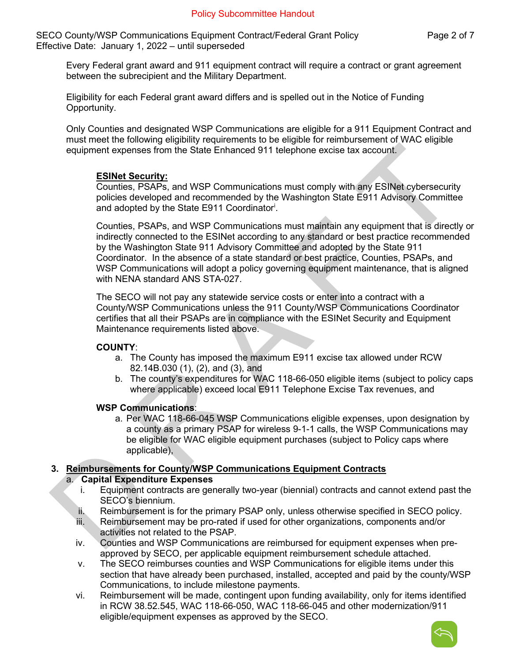SECO County/WSP Communications Equipment Contract/Federal Grant Policy Page 2 of 7 Effective Date: January 1, 2022 – until superseded

Every Federal grant award and 911 equipment contract will require a contract or grant agreement between the subrecipient and the Military Department.

Eligibility for each Federal grant award differs and is spelled out in the Notice of Funding Opportunity.

Only Counties and designated WSP Communications are eligible for a 911 Equipment Contract and must meet the following eligibility requirements to be eligible for reimbursement of WAC eligible equipment expenses from the State Enhanced 911 telephone excise tax account.

#### **ESINet Security:**

Counties, PSAPs, and WSP Communications must comply with any ESINet cybersecurity policies developed and recommended by the Washington State E911 Advisory Committee and adopted by the State E911 Coordinator[i](#page-15-0) .

Counties, PSAPs, and WSP Communications must maintain any equipment that is directly or indirectly connected to the ESINet according to any standard or best practice recommended by the Washington State 911 Advisory Committee and adopted by the State 911 Coordinator. In the absence of a state standard or best practice, Counties, PSAPs, and WSP Communications will adopt a policy governing equipment maintenance, that is aligned with NENA standard ANS STA-027.

The SECO will not pay any statewide service costs or enter into a contract with a County/WSP Communications unless the 911 County/WSP Communications Coordinator certifies that all their PSAPs are in compliance with the ESINet Security and Equipment Maintenance requirements listed above.

#### **COUNTY**:

- a. The County has imposed the maximum E911 excise tax allowed under RCW 82.14B.030 (1), (2), and (3), and
- b. The county's expenditures for WAC 118-66-050 eligible items (subject to policy caps where applicable) exceed local E911 Telephone Excise Tax revenues, and

#### **WSP Communications**:

a. Per WAC 118-66-045 WSP Communications eligible expenses, upon designation by a county as a primary PSAP for wireless 9-1-1 calls, the WSP Communications may be eligible for WAC eligible equipment purchases (subject to Policy caps where applicable),

# **3. Reimbursements for County/WSP Communications Equipment Contracts**

#### a. **Capital Expenditure Expenses**

- i. Equipment contracts are generally two-year (biennial) contracts and cannot extend past the SECO's biennium.
- ii. Reimbursement is for the primary PSAP only, unless otherwise specified in SECO policy.
- iii. Reimbursement may be pro-rated if used for other organizations, components and/or activities not related to the PSAP.
- iv. Counties and WSP Communications are reimbursed for equipment expenses when preapproved by SECO, per applicable equipment reimbursement schedule attached.
- v. The SECO reimburses counties and WSP Communications for eligible items under this section that have already been purchased, installed, accepted and paid by the county/WSP Communications, to include milestone payments.
- vi. Reimbursement will be made, contingent upon funding availability, only for items identified in RCW 38.52.545, WAC 118-66-050, WAC 118-66-045 and other modernization/911 eligible/equipment expenses as approved by the SECO.

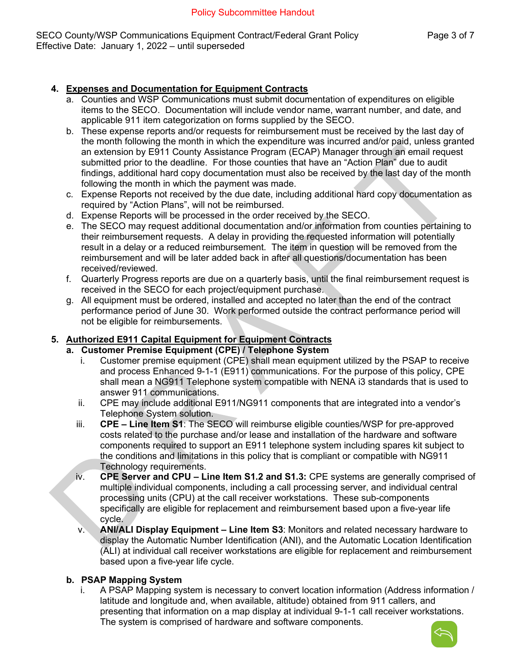SECO County/WSP Communications Equipment Contract/Federal Grant Policy Page 3 of 7 Effective Date: January 1, 2022 – until superseded

## **4. Expenses and Documentation for Equipment Contracts**

- a. Counties and WSP Communications must submit documentation of expenditures on eligible items to the SECO. Documentation will include vendor name, warrant number, and date, and applicable 911 item categorization on forms supplied by the SECO.
- b. These expense reports and/or requests for reimbursement must be received by the last day of the month following the month in which the expenditure was incurred and/or paid, unless granted an extension by E911 County Assistance Program (ECAP) Manager through an email request submitted prior to the deadline. For those counties that have an "Action Plan" due to audit findings, additional hard copy documentation must also be received by the last day of the month following the month in which the payment was made.
- c. Expense Reports not received by the due date, including additional hard copy documentation as required by "Action Plans", will not be reimbursed.
- d. Expense Reports will be processed in the order received by the SECO.
- e. The SECO may request additional documentation and/or information from counties pertaining to their reimbursement requests. A delay in providing the requested information will potentially result in a delay or a reduced reimbursement. The item in question will be removed from the reimbursement and will be later added back in after all questions/documentation has been received/reviewed.
- f. Quarterly Progress reports are due on a quarterly basis, until the final reimbursement request is received in the SECO for each project/equipment purchase.
- g. All equipment must be ordered, installed and accepted no later than the end of the contract performance period of June 30. Work performed outside the contract performance period will not be eligible for reimbursements.

#### **5. Authorized E911 Capital Equipment for Equipment Contracts**

- **a. Customer Premise Equipment (CPE) / Telephone System**
	- i. Customer premise equipment (CPE) shall mean equipment utilized by the PSAP to receive and process Enhanced 9-1-1 (E911) communications. For the purpose of this policy, CPE shall mean a NG911 Telephone system compatible with NENA i3 standards that is used to answer 911 communications.
	- ii. CPE may include additional E911/NG911 components that are integrated into a vendor's Telephone System solution.
	- iii. **CPE Line Item S1**: The SECO will reimburse eligible counties/WSP for pre-approved costs related to the purchase and/or lease and installation of the hardware and software components required to support an E911 telephone system including spares kit subject to the conditions and limitations in this policy that is compliant or compatible with NG911 Technology requirements.
	- iv. **CPE Server and CPU Line Item S1.2 and S1.3:** CPE systems are generally comprised of multiple individual components, including a call processing server, and individual central processing units (CPU) at the call receiver workstations. These sub-components specifically are eligible for replacement and reimbursement based upon a five-year life cycle.
	- v. **ANI/ALI Display Equipment Line Item S3**: Monitors and related necessary hardware to display the Automatic Number Identification (ANI), and the Automatic Location Identification (ALI) at individual call receiver workstations are eligible for replacement and reimbursement based upon a five-year life cycle.

#### **b. PSAP Mapping System**

i. A PSAP Mapping system is necessary to convert location information (Address information / latitude and longitude and, when available, altitude) obtained from 911 callers, and presenting that information on a map display at individual 9-1-1 call receiver workstations. The system is comprised of hardware and software components.

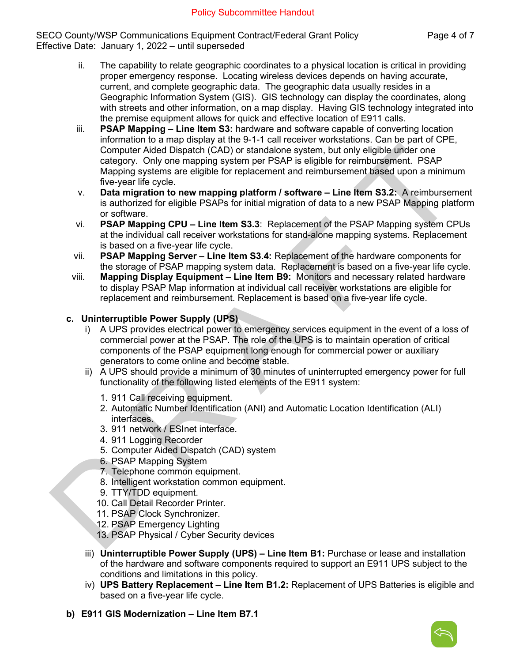SECO County/WSP Communications Equipment Contract/Federal Grant Policy Page 4 of 7 Effective Date: January 1, 2022 – until superseded

- ii. The capability to relate geographic coordinates to a physical location is critical in providing proper emergency response. Locating wireless devices depends on having accurate, current, and complete geographic data. The geographic data usually resides in a Geographic Information System (GIS). GIS technology can display the coordinates, along with streets and other information, on a map display. Having GIS technology integrated into the premise equipment allows for quick and effective location of E911 calls.
- iii. **PSAP Mapping Line Item S3:** hardware and software capable of converting location information to a map display at the 9-1-1 call receiver workstations. Can be part of CPE, Computer Aided Dispatch (CAD) or standalone system, but only eligible under one category. Only one mapping system per PSAP is eligible for reimbursement. PSAP Mapping systems are eligible for replacement and reimbursement based upon a minimum five-year life cycle.
- v. **Data migration to new mapping platform / software Line Item S3.2:** A reimbursement is authorized for eligible PSAPs for initial migration of data to a new PSAP Mapping platform or software.
- vi. **PSAP Mapping CPU Line Item S3.3**: Replacement of the PSAP Mapping system CPUs at the individual call receiver workstations for stand-alone mapping systems. Replacement is based on a five-year life cycle.
- vii. **PSAP Mapping Server Line Item S3.4:** Replacement of the hardware components for the storage of PSAP mapping system data. Replacement is based on a five-year life cycle.
- viii. **Mapping Display Equipment Line Item B9:** Monitors and necessary related hardware to display PSAP Map information at individual call receiver workstations are eligible for replacement and reimbursement. Replacement is based on a five-year life cycle.

## **c. Uninterruptible Power Supply (UPS)**

- i) A UPS provides electrical power to emergency services equipment in the event of a loss of commercial power at the PSAP. The role of the UPS is to maintain operation of critical components of the PSAP equipment long enough for commercial power or auxiliary generators to come online and become stable.
- ii) A UPS should provide a minimum of 30 minutes of uninterrupted emergency power for full functionality of the following listed elements of the E911 system:
	- 1. 911 Call receiving equipment.
	- 2. Automatic Number Identification (ANI) and Automatic Location Identification (ALI) interfaces.
	- 3. 911 network / ESInet interface.
	- 4. 911 Logging Recorder
	- 5. Computer Aided Dispatch (CAD) system
	- 6. PSAP Mapping System
	- 7. Telephone common equipment.
	- 8. Intelligent workstation common equipment.
	- 9. TTY/TDD equipment.
	- 10. Call Detail Recorder Printer.
	- 11. PSAP Clock Synchronizer.
	- 12. PSAP Emergency Lighting
	- 13. PSAP Physical / Cyber Security devices
- iii) **Uninterruptible Power Supply (UPS) Line Item B1:** Purchase or lease and installation of the hardware and software components required to support an E911 UPS subject to the conditions and limitations in this policy.
- iv) **UPS Battery Replacement Line Item B1.2:** Replacement of UPS Batteries is eligible and based on a five-year life cycle.
- **b) E911 GIS Modernization Line Item B7.1**

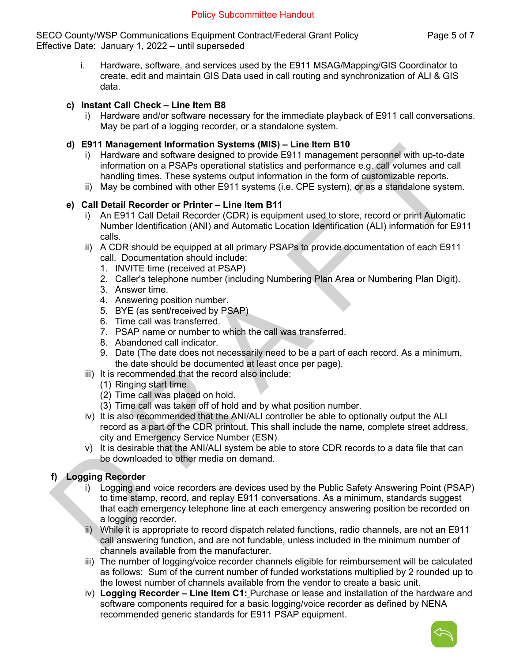SECO County/WSP Communications Equipment Contract/Federal Grant Policy Page 5 of 7 Effective Date: January 1, 2022 – until superseded

i. Hardware, software, and services used by the E911 MSAG/Mapping/GIS Coordinator to create, edit and maintain GIS Data used in call routing and synchronization of ALI & GIS data.

## **c) Instant Call Check – Line Item B8**

i) Hardware and/or software necessary for the immediate playback of E911 call conversations. May be part of a logging recorder, or a standalone system.

## **d) E911 Management Information Systems (MIS) – Line Item B10**

- i) Hardware and software designed to provide E911 management personnel with up-to-date information on a PSAPs operational statistics and performance e.g. call volumes and call handling times. These systems output information in the form of customizable reports.
- ii) May be combined with other E911 systems (i.e. CPE system), or as a standalone system.

## **e) Call Detail Recorder or Printer – Line Item B11**

- i) An E911 Call Detail Recorder (CDR) is equipment used to store, record or print Automatic Number Identification (ANI) and Automatic Location Identification (ALI) information for E911 calls.
- ii) A CDR should be equipped at all primary PSAPs to provide documentation of each E911 call. Documentation should include:
	- 1. INVITE time (received at PSAP)
	- 2. Caller's telephone number (including Numbering Plan Area or Numbering Plan Digit).
	- 3. Answer time.
	- 4. Answering position number.
	- 5. BYE (as sent/received by PSAP)
	- 6. Time call was transferred.
	- 7. PSAP name or number to which the call was transferred.
	- 8. Abandoned call indicator.
	- 9. Date (The date does not necessarily need to be a part of each record. As a minimum, the date should be documented at least once per page).
- iii) It is recommended that the record also include:
	- (1) Ringing start time.
	- (2) Time call was placed on hold.
	- (3) Time call was taken off of hold and by what position number.
- iv) It is also recommended that the ANI/ALI controller be able to optionally output the ALI record as a part of the CDR printout. This shall include the name, complete street address, city and Emergency Service Number (ESN).
- v) It is desirable that the ANI/ALI system be able to store CDR records to a data file that can be downloaded to other media on demand.

# **f) Logging Recorder**

- i) Logging and voice recorders are devices used by the Public Safety Answering Point (PSAP) to time stamp, record, and replay E911 conversations. As a minimum, standards suggest that each emergency telephone line at each emergency answering position be recorded on a logging recorder.
- ii) While it is appropriate to record dispatch related functions, radio channels, are not an E911 call answering function, and are not fundable, unless included in the minimum number of channels available from the manufacturer.
- iii) The number of logging/voice recorder channels eligible for reimbursement will be calculated as follows: Sum of the current number of funded workstations multiplied by 2 rounded up to the lowest number of channels available from the vendor to create a basic unit.
- iv) **Logging Recorder Line Item C1:** Purchase or lease and installation of the hardware and software components required for a basic logging/voice recorder as defined by NENA recommended generic standards for E911 PSAP equipment.

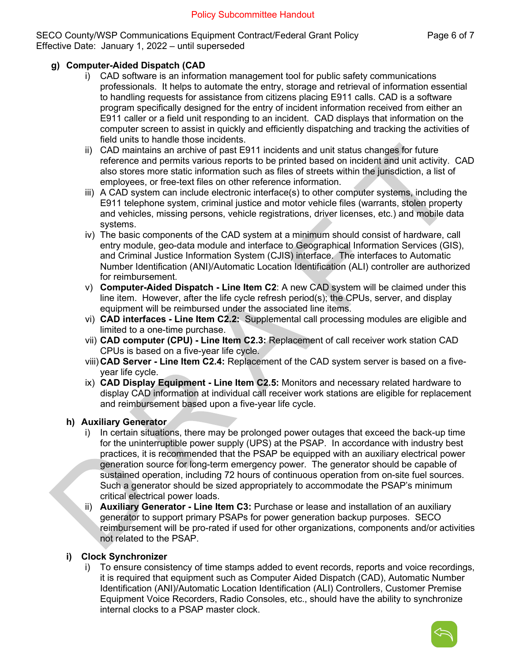SECO County/WSP Communications Equipment Contract/Federal Grant Policy Page 6 of 7 Effective Date: January 1, 2022 – until superseded

## **g) Computer-Aided Dispatch (CAD**

- i) CAD software is an information management tool for public safety communications professionals. It helps to automate the entry, storage and retrieval of information essential to handling requests for assistance from citizens placing E911 calls. CAD is a software program specifically designed for the entry of incident information received from either an E911 caller or a field unit responding to an incident. CAD displays that information on the computer screen to assist in quickly and efficiently dispatching and tracking the activities of field units to handle those incidents.
- ii) CAD maintains an archive of past E911 incidents and unit status changes for future reference and permits various reports to be printed based on incident and unit activity. CAD also stores more static information such as files of streets within the jurisdiction, a list of employees, or free-text files on other reference information.
- iii) A CAD system can include electronic interface(s) to other computer systems, including the E911 telephone system, criminal justice and motor vehicle files (warrants, stolen property and vehicles, missing persons, vehicle registrations, driver licenses, etc.) and mobile data systems.
- iv) The basic components of the CAD system at a minimum should consist of hardware, call entry module, geo-data module and interface to Geographical Information Services (GIS), and Criminal Justice Information System (CJIS) interface. The interfaces to Automatic Number Identification (ANI)/Automatic Location Identification (ALI) controller are authorized for reimbursement.
- v) **Computer-Aided Dispatch Line Item C2**: A new CAD system will be claimed under this line item. However, after the life cycle refresh period(s); the CPUs, server, and display equipment will be reimbursed under the associated line items.
- vi) **CAD interfaces Line Item C2.2:** Supplemental call processing modules are eligible and limited to a one-time purchase.
- vii) **CAD computer (CPU) Line Item C2.3:** Replacement of call receiver work station CAD CPUs is based on a five-year life cycle.
- viii) **CAD Server Line Item C2.4:** Replacement of the CAD system server is based on a fiveyear life cycle.
- ix) **CAD Display Equipment Line Item C2.5:** Monitors and necessary related hardware to display CAD information at individual call receiver work stations are eligible for replacement and reimbursement based upon a five-year life cycle.

#### **h) Auxiliary Generator**

- i) In certain situations, there may be prolonged power outages that exceed the back-up time for the uninterruptible power supply (UPS) at the PSAP. In accordance with industry best practices, it is recommended that the PSAP be equipped with an auxiliary electrical power generation source for long-term emergency power. The generator should be capable of sustained operation, including 72 hours of continuous operation from on-site fuel sources. Such a generator should be sized appropriately to accommodate the PSAP's minimum critical electrical power loads.
- ii) **Auxiliary Generator Line Item C3:** Purchase or lease and installation of an auxiliary generator to support primary PSAPs for power generation backup purposes. SECO reimbursement will be pro-rated if used for other organizations, components and/or activities not related to the PSAP.

#### **i) Clock Synchronizer**

i) To ensure consistency of time stamps added to event records, reports and voice recordings, it is required that equipment such as Computer Aided Dispatch (CAD), Automatic Number Identification (ANI)/Automatic Location Identification (ALI) Controllers, Customer Premise Equipment Voice Recorders, Radio Consoles, etc., should have the ability to synchronize internal clocks to a PSAP master clock.

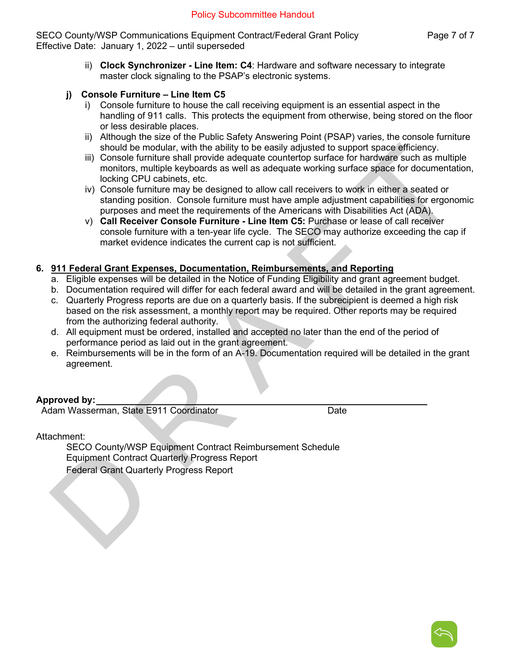SECO County/WSP Communications Equipment Contract/Federal Grant Policy Page 7 of 7 Effective Date: January 1, 2022 – until superseded

- ii) **Clock Synchronizer Line Item: C4**: Hardware and software necessary to integrate master clock signaling to the PSAP's electronic systems.
- **j) Console Furniture Line Item C5**
	- i) Console furniture to house the call receiving equipment is an essential aspect in the handling of 911 calls. This protects the equipment from otherwise, being stored on the floor or less desirable places.
	- ii) Although the size of the Public Safety Answering Point (PSAP) varies, the console furniture should be modular, with the ability to be easily adjusted to support space efficiency.
	- iii) Console furniture shall provide adequate countertop surface for hardware such as multiple monitors, multiple keyboards as well as adequate working surface space for documentation, locking CPU cabinets, etc.
	- iv) Console furniture may be designed to allow call receivers to work in either a seated or standing position. Console furniture must have ample adjustment capabilities for ergonomic purposes and meet the requirements of the Americans with Disabilities Act (ADA).
	- v) **Call Receiver Console Furniture Line Item C5:** Purchase or lease of call receiver console furniture with a ten-year life cycle. The SECO may authorize exceeding the cap if market evidence indicates the current cap is not sufficient.

#### **6. 911 Federal Grant Expenses, Documentation, Reimbursements, and Reporting**

- a. Eligible expenses will be detailed in the Notice of Funding Eligibility and grant agreement budget.
- b. Documentation required will differ for each federal award and will be detailed in the grant agreement.
- c. Quarterly Progress reports are due on a quarterly basis. If the subrecipient is deemed a high risk based on the risk assessment, a monthly report may be required. Other reports may be required from the authorizing federal authority.
- d. All equipment must be ordered, installed and accepted no later than the end of the period of performance period as laid out in the grant agreement.
- e. Reimbursements will be in the form of an A-19. Documentation required will be detailed in the grant agreement.

# **Approved by:**

Adam Wasserman, State E911 Coordinator **Date** Date

Attachment:

SECO County/WSP Equipment Contract Reimbursement Schedule Equipment Contract Quarterly Progress Report Federal Grant Quarterly Progress Report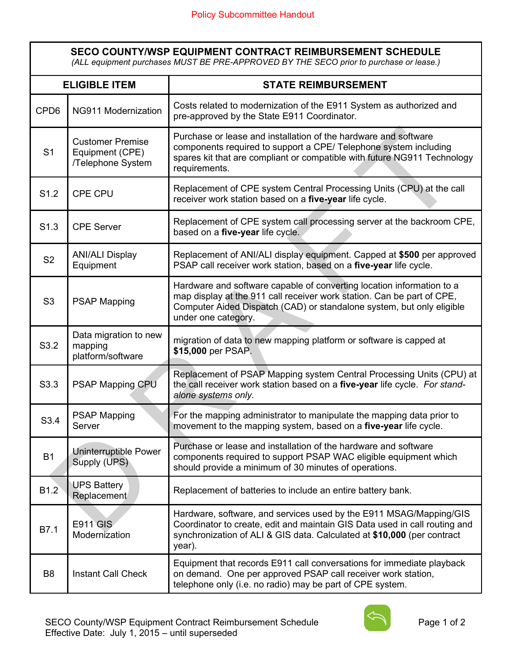| <b>SECO COUNTY/WSP EQUIPMENT CONTRACT REIMBURSEMENT SCHEDULE</b><br>(ALL equipment purchases MUST BE PRE-APPROVED BY THE SECO prior to purchase or lease.) |                                                                 |                                                                                                                                                                                                                                                 |
|------------------------------------------------------------------------------------------------------------------------------------------------------------|-----------------------------------------------------------------|-------------------------------------------------------------------------------------------------------------------------------------------------------------------------------------------------------------------------------------------------|
| <b>ELIGIBLE ITEM</b>                                                                                                                                       |                                                                 | <b>STATE REIMBURSEMENT</b>                                                                                                                                                                                                                      |
| CPD <sub>6</sub>                                                                                                                                           | NG911 Modernization                                             | Costs related to modernization of the E911 System as authorized and<br>pre-approved by the State E911 Coordinator.                                                                                                                              |
| S <sub>1</sub>                                                                                                                                             | <b>Customer Premise</b><br>Equipment (CPE)<br>/Telephone System | Purchase or lease and installation of the hardware and software<br>components required to support a CPE/ Telephone system including<br>spares kit that are compliant or compatible with future NG911 Technology<br>requirements.                |
| S <sub>1.2</sub>                                                                                                                                           | CPE CPU                                                         | Replacement of CPE system Central Processing Units (CPU) at the call<br>receiver work station based on a five-year life cycle.                                                                                                                  |
| S1.3                                                                                                                                                       | <b>CPE Server</b>                                               | Replacement of CPE system call processing server at the backroom CPE,<br>based on a five-year life cycle.                                                                                                                                       |
| S <sub>2</sub>                                                                                                                                             | <b>ANI/ALI Display</b><br>Equipment                             | Replacement of ANI/ALI display equipment. Capped at \$500 per approved<br>PSAP call receiver work station, based on a five-year life cycle.                                                                                                     |
| S <sub>3</sub>                                                                                                                                             | <b>PSAP Mapping</b>                                             | Hardware and software capable of converting location information to a<br>map display at the 911 call receiver work station. Can be part of CPE,<br>Computer Aided Dispatch (CAD) or standalone system, but only eligible<br>under one category. |
| S3.2                                                                                                                                                       | Data migration to new<br>mapping<br>platform/software           | migration of data to new mapping platform or software is capped at<br>\$15,000 per PSAP.                                                                                                                                                        |
| S3.3                                                                                                                                                       | PSAP Mapping CPU                                                | Replacement of PSAP Mapping system Central Processing Units (CPU) at<br>the call receiver work station based on a five-year life cycle. For stand-<br>alone systems only.                                                                       |
| S3.4                                                                                                                                                       | PSAP Mapping<br>Server                                          | For the mapping administrator to manipulate the mapping data prior to<br>movement to the mapping system, based on a five-year life cycle.                                                                                                       |
| <b>B1</b>                                                                                                                                                  | Uninterruptible Power<br>Supply (UPS)                           | Purchase or lease and installation of the hardware and software<br>components required to support PSAP WAC eligible equipment which<br>should provide a minimum of 30 minutes of operations.                                                    |
| B <sub>1.2</sub>                                                                                                                                           | <b>UPS Battery</b><br><b>Replacement</b>                        | Replacement of batteries to include an entire battery bank.                                                                                                                                                                                     |
| B7.1                                                                                                                                                       | <b>E911 GIS</b><br>Modernization                                | Hardware, software, and services used by the E911 MSAG/Mapping/GIS<br>Coordinator to create, edit and maintain GIS Data used in call routing and<br>synchronization of ALI & GIS data. Calculated at \$10,000 (per contract<br>year).           |
| B <sub>8</sub>                                                                                                                                             | <b>Instant Call Check</b>                                       | Equipment that records E911 call conversations for immediate playback<br>on demand. One per approved PSAP call receiver work station,<br>telephone only (i.e. no radio) may be part of CPE system.                                              |

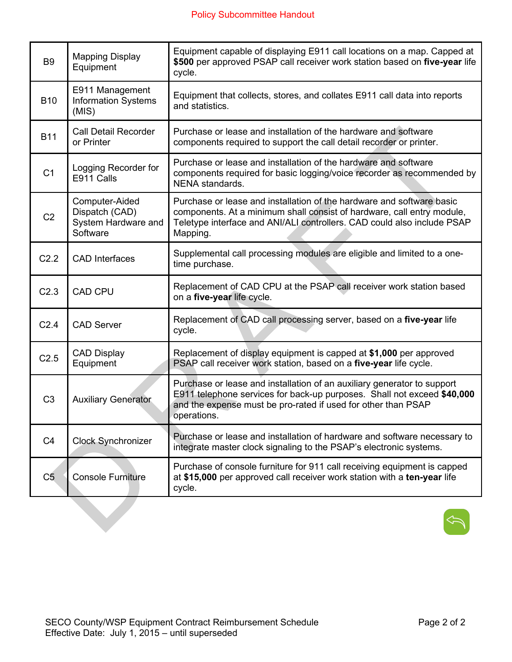| B <sub>9</sub>   | <b>Mapping Display</b><br>Equipment                                 | Equipment capable of displaying E911 call locations on a map. Capped at<br>\$500 per approved PSAP call receiver work station based on five-year life<br>cycle.                                                                        |
|------------------|---------------------------------------------------------------------|----------------------------------------------------------------------------------------------------------------------------------------------------------------------------------------------------------------------------------------|
| <b>B10</b>       | E911 Management<br><b>Information Systems</b><br>(MIS)              | Equipment that collects, stores, and collates E911 call data into reports<br>and statistics.                                                                                                                                           |
| <b>B11</b>       | <b>Call Detail Recorder</b><br>or Printer                           | Purchase or lease and installation of the hardware and software<br>components required to support the call detail recorder or printer.                                                                                                 |
| C <sub>1</sub>   | Logging Recorder for<br>E911 Calls                                  | Purchase or lease and installation of the hardware and software<br>components required for basic logging/voice recorder as recommended by<br>NENA standards.                                                                           |
| C <sub>2</sub>   | Computer-Aided<br>Dispatch (CAD)<br>System Hardware and<br>Software | Purchase or lease and installation of the hardware and software basic<br>components. At a minimum shall consist of hardware, call entry module,<br>Teletype interface and ANI/ALI controllers. CAD could also include PSAP<br>Mapping. |
| C <sub>2.2</sub> | <b>CAD</b> Interfaces                                               | Supplemental call processing modules are eligible and limited to a one-<br>time purchase.                                                                                                                                              |
| C <sub>2.3</sub> | <b>CAD CPU</b>                                                      | Replacement of CAD CPU at the PSAP call receiver work station based<br>on a five-year life cycle.                                                                                                                                      |
| C <sub>2.4</sub> | <b>CAD Server</b>                                                   | Replacement of CAD call processing server, based on a five-year life<br>cycle.                                                                                                                                                         |
| C2.5             | <b>CAD Display</b><br>Equipment                                     | Replacement of display equipment is capped at \$1,000 per approved<br>PSAP call receiver work station, based on a five-year life cycle.                                                                                                |
| C <sub>3</sub>   | <b>Auxiliary Generator</b>                                          | Purchase or lease and installation of an auxiliary generator to support<br>E911 telephone services for back-up purposes. Shall not exceed \$40,000<br>and the expense must be pro-rated if used for other than PSAP<br>operations.     |
| C <sub>4</sub>   | <b>Clock Synchronizer</b>                                           | Purchase or lease and installation of hardware and software necessary to<br>integrate master clock signaling to the PSAP's electronic systems.                                                                                         |
| C <sub>5</sub>   | <b>Console Furniture</b>                                            | Purchase of console furniture for 911 call receiving equipment is capped<br>at \$15,000 per approved call receiver work station with a ten-year life<br>cycle.                                                                         |
|                  |                                                                     |                                                                                                                                                                                                                                        |

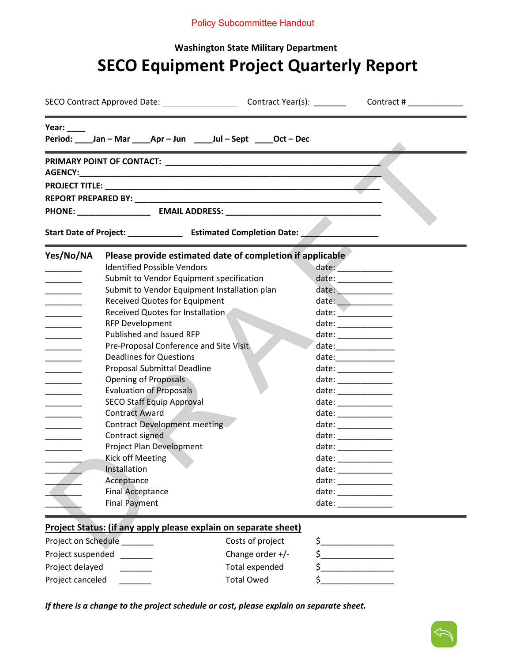## Policy Subcommittee Handout

# **Washington State Military Department SECO Equipment Project Quarterly Report**

| Year: $\frac{1}{2}$                            | Period: Jan-Mar Apr-Jun Jul-Sept Oct-Dec                                          |                                                                                                                                                                                                                                                                                                                                                                                                                                                                                                  |
|------------------------------------------------|-----------------------------------------------------------------------------------|--------------------------------------------------------------------------------------------------------------------------------------------------------------------------------------------------------------------------------------------------------------------------------------------------------------------------------------------------------------------------------------------------------------------------------------------------------------------------------------------------|
|                                                |                                                                                   |                                                                                                                                                                                                                                                                                                                                                                                                                                                                                                  |
|                                                |                                                                                   |                                                                                                                                                                                                                                                                                                                                                                                                                                                                                                  |
|                                                |                                                                                   |                                                                                                                                                                                                                                                                                                                                                                                                                                                                                                  |
|                                                |                                                                                   |                                                                                                                                                                                                                                                                                                                                                                                                                                                                                                  |
|                                                |                                                                                   |                                                                                                                                                                                                                                                                                                                                                                                                                                                                                                  |
|                                                | Start Date of Project: _________________ Estimated Completion Date: _____________ |                                                                                                                                                                                                                                                                                                                                                                                                                                                                                                  |
| Yes/No/NA                                      | Please provide estimated date of completion if applicable                         |                                                                                                                                                                                                                                                                                                                                                                                                                                                                                                  |
| _____                                          | <b>Identified Possible Vendors</b>                                                | date: ____________                                                                                                                                                                                                                                                                                                                                                                                                                                                                               |
| <u> Alban Alban A</u>                          | Submit to Vendor Equipment specification                                          | date: _____________                                                                                                                                                                                                                                                                                                                                                                                                                                                                              |
| <u> De Carlos de Ca</u>                        | Submit to Vendor Equipment Installation plan                                      | date: ____________                                                                                                                                                                                                                                                                                                                                                                                                                                                                               |
| _______                                        | <b>Received Quotes for Equipment</b>                                              | date: _____________                                                                                                                                                                                                                                                                                                                                                                                                                                                                              |
| _______                                        | Received Quotes for Installation                                                  | date:                                                                                                                                                                                                                                                                                                                                                                                                                                                                                            |
| $\overline{\phantom{a}}$                       | <b>RFP Development</b>                                                            | date: $\frac{1}{\sqrt{1-\frac{1}{2}}\cdot\frac{1}{2}}$                                                                                                                                                                                                                                                                                                                                                                                                                                           |
| <u> Louis Communist</u>                        | Published and Issued RFP                                                          | $\text{date:}\underline{\hspace{2.5em}}% \begin{tabular}{@{c}c@{}} \hline \multicolumn{3}{c}{\textbf{date:}} \multicolumn{3}{c}{\textbf{date:}} \multicolumn{3}{c}{\textbf{date:}} \multicolumn{3}{c}{\textbf{date:}} \multicolumn{3}{c}{\textbf{date:}} \multicolumn{3}{c}{\textbf{date:}} \multicolumn{3}{c}{\textbf{date:}} \multicolumn{3}{c}{\textbf{date:}} \multicolumn{3}{c}{\textbf{date:}} \multicolumn{3}{c}{\textbf{date:}} \multicolumn{3}{c}{\textbf{date:}} \multicolumn{3}{c}{\$ |
| $\overline{\phantom{a}}$                       | Pre-Proposal Conference and Site Visit                                            | $\text{date:}\underline{\hspace{2.5em}}$                                                                                                                                                                                                                                                                                                                                                                                                                                                         |
| _______                                        | <b>Deadlines for Questions</b>                                                    |                                                                                                                                                                                                                                                                                                                                                                                                                                                                                                  |
| $\overline{\phantom{a}}$                       | Proposal Submittal Deadline                                                       | date: ____________                                                                                                                                                                                                                                                                                                                                                                                                                                                                               |
| $\mathcal{L} = \mathcal{L} \times \mathcal{L}$ | <b>Opening of Proposals</b>                                                       | date: ______________                                                                                                                                                                                                                                                                                                                                                                                                                                                                             |
|                                                | <b>Evaluation of Proposals</b>                                                    | date:                                                                                                                                                                                                                                                                                                                                                                                                                                                                                            |
| ______                                         | <b>SECO Staff Equip Approval</b>                                                  | date: ______________                                                                                                                                                                                                                                                                                                                                                                                                                                                                             |
| $\overline{\phantom{a}}$                       | <b>Contract Award</b>                                                             | $\begin{picture}(20,10) \put(0,0){\vector(1,0){100}} \put(15,0){\vector(1,0){100}} \put(15,0){\vector(1,0){100}} \put(15,0){\vector(1,0){100}} \put(15,0){\vector(1,0){100}} \put(15,0){\vector(1,0){100}} \put(15,0){\vector(1,0){100}} \put(15,0){\vector(1,0){100}} \put(15,0){\vector(1,0){100}} \put(15,0){\vector(1,0){100}} \put(15,0){\vector(1,0){100}} \$                                                                                                                              |
| <u> Liberatura de la p</u>                     | <b>Contract Development meeting</b>                                               |                                                                                                                                                                                                                                                                                                                                                                                                                                                                                                  |
| $\overline{\phantom{a}}$                       | Contract signed                                                                   | date: _____________                                                                                                                                                                                                                                                                                                                                                                                                                                                                              |
| _______                                        | Project Plan Development                                                          |                                                                                                                                                                                                                                                                                                                                                                                                                                                                                                  |
| $\overline{\phantom{a}}$                       | <b>Kick off Meeting</b>                                                           | date: ______________                                                                                                                                                                                                                                                                                                                                                                                                                                                                             |
|                                                | Installation                                                                      | $\begin{picture}(20,10) \put(0,0){\dashbox{0.5}(5,0){ }} \thicklines \put(0,0){\dashbox{0.5}(5,0){ }} \thicklines \put(0,0){\dashbox{0.5}(5,0){ }} \thicklines \put(0,0){\dashbox{0.5}(5,0){ }} \thicklines \put(0,0){\dashbox{0.5}(5,0){ }} \thicklines \put(0,0){\dashbox{0.5}(5,0){ }} \thicklines \put(0,0){\dashbox{0.5}(5,0){ }} \thicklines \put(0,0){\dashbox{0.5}(5,0){ }} \thicklines \put(0,0){\dashbox{0.5}(5,$                                                                      |
|                                                | Acceptance                                                                        | date: ______________                                                                                                                                                                                                                                                                                                                                                                                                                                                                             |
|                                                | <b>Final Acceptance</b>                                                           | date: _____________                                                                                                                                                                                                                                                                                                                                                                                                                                                                              |
|                                                | <b>Final Payment</b>                                                              |                                                                                                                                                                                                                                                                                                                                                                                                                                                                                                  |
|                                                | Project Status: (if any apply please explain on separate sheet)                   |                                                                                                                                                                                                                                                                                                                                                                                                                                                                                                  |
| Project on Schedule                            | Costs of project                                                                  | \$_                                                                                                                                                                                                                                                                                                                                                                                                                                                                                              |

Project suspended \_\_\_\_\_\_\_ Change order +/- \$\_\_\_\_\_\_\_\_\_\_\_\_\_\_\_\_ Project delayed \_\_\_\_\_\_\_ Total expended \$\_\_\_\_\_\_\_\_\_\_\_\_\_\_\_\_ Project canceled \_\_\_\_\_\_\_ Total Owed \$\_\_\_\_\_\_\_\_\_\_\_\_\_\_\_\_

*If there is a change to the project schedule or cost, please explain on separate sheet.*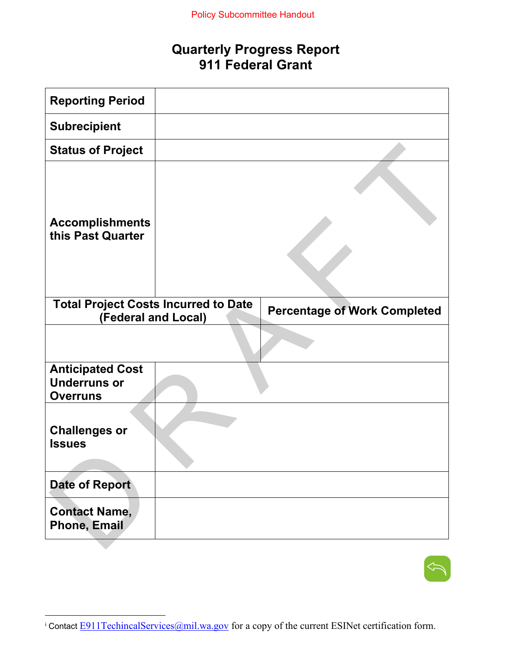# **Quarterly Progress Report 911 Federal Grant**

| <b>Reporting Period</b>                                            |                                     |
|--------------------------------------------------------------------|-------------------------------------|
| <b>Subrecipient</b>                                                |                                     |
| <b>Status of Project</b>                                           |                                     |
| <b>Accomplishments</b><br>this Past Quarter                        |                                     |
| <b>Total Project Costs Incurred to Date</b><br>(Federal and Local) | <b>Percentage of Work Completed</b> |
|                                                                    |                                     |
| <b>Anticipated Cost</b><br><b>Underruns or</b><br><b>Overruns</b>  |                                     |
| <b>Challenges or</b><br><b>Issues</b>                              |                                     |
| <b>Date of Report</b>                                              |                                     |
| <b>Contact Name,</b><br><b>Phone, Email</b>                        |                                     |



<span id="page-15-0"></span><sup>&</sup>lt;sup>i</sup> Contact **E911TechincalServices**@mil.wa.gov</u> for a copy of the current ESINet certification form.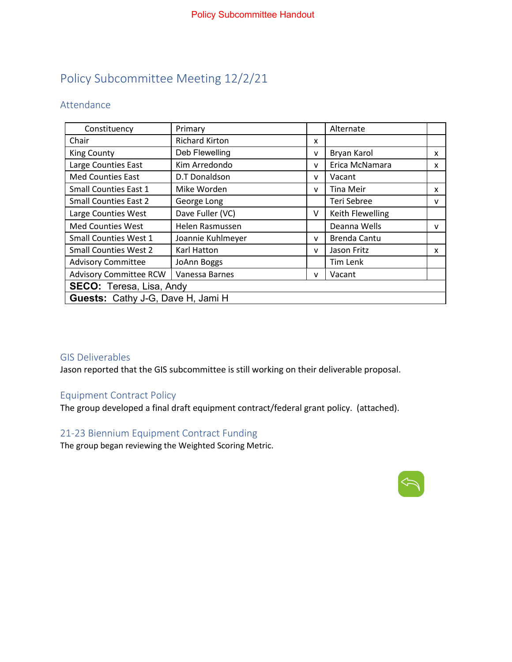# Policy Subcommittee Meeting 12/2/21

# Attendance

| Constituency                             | Primary               |   | Alternate           |              |  |  |  |
|------------------------------------------|-----------------------|---|---------------------|--------------|--|--|--|
| Chair                                    | <b>Richard Kirton</b> | x |                     |              |  |  |  |
| <b>King County</b>                       | Deb Flewelling        | v | Bryan Karol         | x            |  |  |  |
| Large Counties East                      | Kim Arredondo         | v | Erica McNamara      | x            |  |  |  |
| <b>Med Counties East</b>                 | D.T Donaldson         | v | Vacant              |              |  |  |  |
| <b>Small Counties East 1</b>             | Mike Worden           | v | <b>Tina Meir</b>    | X            |  |  |  |
| <b>Small Counties East 2</b>             | George Long           |   | Teri Sebree         | $\mathsf{v}$ |  |  |  |
| Large Counties West                      | Dave Fuller (VC)      | v | Keith Flewelling    |              |  |  |  |
| <b>Med Counties West</b>                 | Helen Rasmussen       |   | Deanna Wells        | $\mathsf{v}$ |  |  |  |
| <b>Small Counties West 1</b>             | Joannie Kuhlmeyer     | v | <b>Brenda Cantu</b> |              |  |  |  |
| <b>Small Counties West 2</b>             | Karl Hatton           | v | Jason Fritz         | x            |  |  |  |
| <b>Advisory Committee</b>                | JoAnn Boggs           |   | Tim Lenk            |              |  |  |  |
| <b>Advisory Committee RCW</b>            | Vanessa Barnes        | v | Vacant              |              |  |  |  |
| <b>SECO:</b> Teresa, Lisa, Andy          |                       |   |                     |              |  |  |  |
| <b>Guests: Cathy J-G, Dave H, Jami H</b> |                       |   |                     |              |  |  |  |

#### GIS Deliverables

Jason reported that the GIS subcommittee is still working on their deliverable proposal.

# Equipment Contract Policy

The group developed a final draft equipment contract/federal grant policy. (attached).

# 21-23 Biennium Equipment Contract Funding

The group began reviewing the Weighted Scoring Metric.

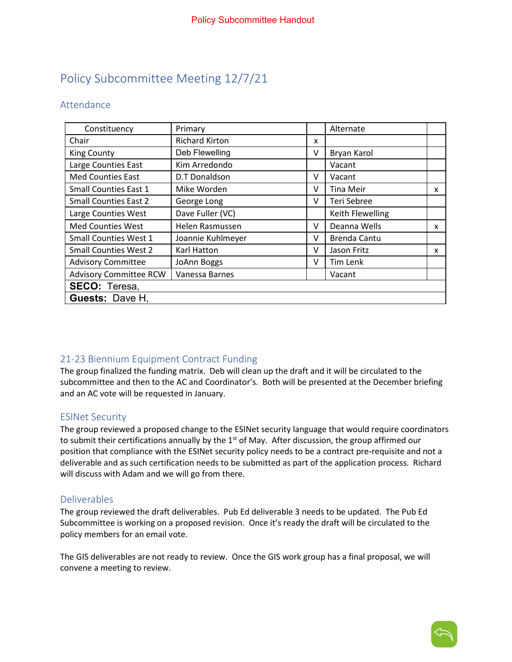# Policy Subcommittee Meeting 12/7/21

# Attendance

| Constituency                  | Primary               |   | Alternate           |   |  |  |  |
|-------------------------------|-----------------------|---|---------------------|---|--|--|--|
| Chair                         | <b>Richard Kirton</b> | x |                     |   |  |  |  |
| <b>King County</b>            | Deb Flewelling        | v | Bryan Karol         |   |  |  |  |
| Large Counties East           | Kim Arredondo         |   | Vacant              |   |  |  |  |
| <b>Med Counties East</b>      | D.T Donaldson         | v | Vacant              |   |  |  |  |
| Small Counties East 1         | Mike Worden           | v | Tina Meir           | x |  |  |  |
| <b>Small Counties East 2</b>  | George Long           | v | Teri Sebree         |   |  |  |  |
| Large Counties West           | Dave Fuller (VC)      |   | Keith Flewelling    |   |  |  |  |
| <b>Med Counties West</b>      | Helen Rasmussen       | v | Deanna Wells        | X |  |  |  |
| <b>Small Counties West 1</b>  | Joannie Kuhlmeyer     | v | <b>Brenda Cantu</b> |   |  |  |  |
| <b>Small Counties West 2</b>  | Karl Hatton           | v | Jason Fritz         | x |  |  |  |
| <b>Advisory Committee</b>     | JoAnn Boggs           | v | Tim Lenk            |   |  |  |  |
| <b>Advisory Committee RCW</b> | Vanessa Barnes        |   | Vacant              |   |  |  |  |
| <b>SECO: Teresa,</b>          |                       |   |                     |   |  |  |  |
| <b>Guests: Dave H.</b>        |                       |   |                     |   |  |  |  |

# 21-23 Biennium Equipment Contract Funding

The group finalized the funding matrix. Deb will clean up the draft and it will be circulated to the subcommittee and then to the AC and Coordinator's. Both will be presented at the December briefing and an AC vote will be requested in January.

#### ESINet Security

The group reviewed a proposed change to the ESINet security language that would require coordinators to submit their certifications annually by the  $1<sup>st</sup>$  of May. After discussion, the group affirmed our position that compliance with the ESINet security policy needs to be a contract pre-requisite and not a deliverable and as such certification needs to be submitted as part of the application process. Richard will discuss with Adam and we will go from there.

#### Deliverables

The group reviewed the draft deliverables. Pub Ed deliverable 3 needs to be updated. The Pub Ed Subcommittee is working on a proposed revision. Once it's ready the draft will be circulated to the policy members for an email vote.

The GIS deliverables are not ready to review. Once the GIS work group has a final proposal, we will convene a meeting to review.